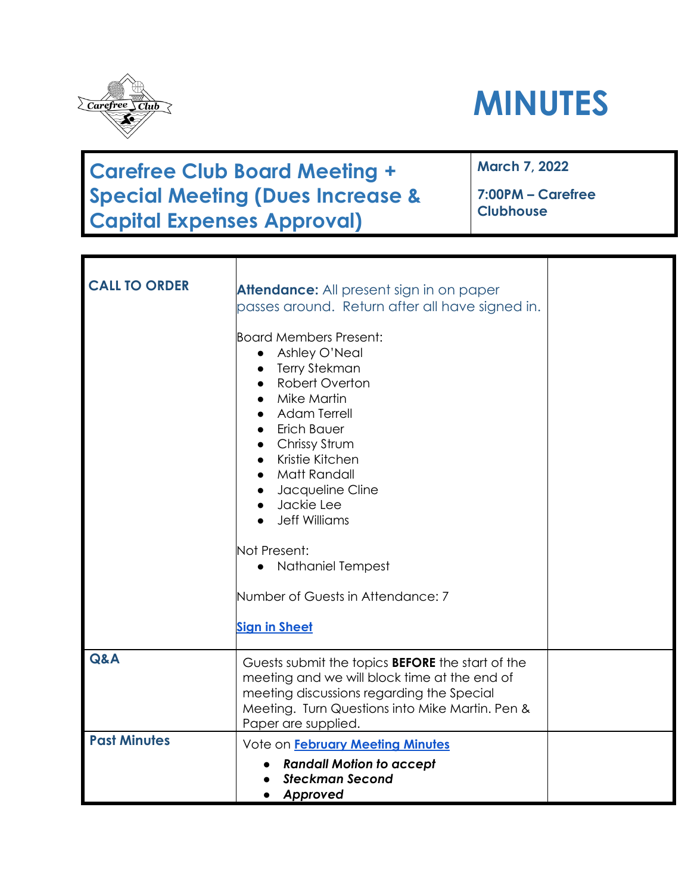

# **MINUTES**

### **Carefree Club Board Meeting + Special Meeting (Dues Increase & Capital Expenses Approval)**

**March 7, 2022**

**7:00PM – Carefree Clubhouse**

| <b>CALL TO ORDER</b> | <b>Attendance:</b> All present sign in on paper<br>passes around. Return after all have signed in.<br><b>Board Members Present:</b><br>Ashley O'Neal<br>$\bullet$<br><b>Terry Stekman</b><br>Robert Overton<br>Mike Martin<br><b>Adam Terrell</b><br>Erich Bauer<br>Chrissy Strum<br>Kristie Kitchen<br>Matt Randall<br>Jacqueline Cline<br>· Jackie Lee<br><b>Jeff Williams</b><br>Not Present:<br>Nathaniel Tempest<br>Number of Guests in Attendance: 7<br><b>Sign in Sheet</b> |  |
|----------------------|------------------------------------------------------------------------------------------------------------------------------------------------------------------------------------------------------------------------------------------------------------------------------------------------------------------------------------------------------------------------------------------------------------------------------------------------------------------------------------|--|
| Q&A                  | Guests submit the topics <b>BEFORE</b> the start of the<br>meeting and we will block time at the end of<br>meeting discussions regarding the Special<br>Meeting. Turn Questions into Mike Martin. Pen &<br>Paper are supplied.                                                                                                                                                                                                                                                     |  |
| <b>Past Minutes</b>  | Vote on February Meeting Minutes<br><b>Randall Motion to accept</b><br><b>Steckman Second</b><br>Approved                                                                                                                                                                                                                                                                                                                                                                          |  |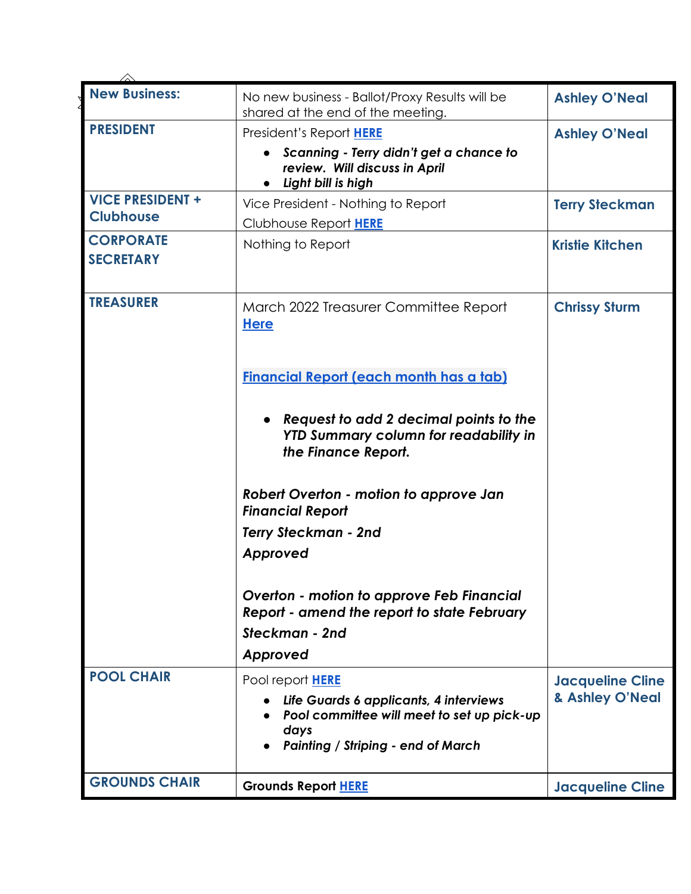| <b>New Business:</b>                 | No new business - Ballot/Proxy Results will be<br>shared at the end of the meeting.                                                       | <b>Ashley O'Neal</b>    |
|--------------------------------------|-------------------------------------------------------------------------------------------------------------------------------------------|-------------------------|
| <b>PRESIDENT</b>                     | President's Report HERE                                                                                                                   | <b>Ashley O'Neal</b>    |
|                                      | Scanning - Terry didn't get a chance to<br>review. Will discuss in April<br>Light bill is high                                            |                         |
| <b>VICE PRESIDENT +</b>              | Vice President - Nothing to Report                                                                                                        | <b>Terry Steckman</b>   |
| <b>Clubhouse</b>                     | Clubhouse Report HERE                                                                                                                     |                         |
| <b>CORPORATE</b><br><b>SECRETARY</b> | Nothing to Report                                                                                                                         | <b>Kristie Kitchen</b>  |
| <b>TREASURER</b>                     | March 2022 Treasurer Committee Report<br><b>Here</b>                                                                                      | <b>Chrissy Sturm</b>    |
|                                      | <b>Financial Report (each month has a tab)</b>                                                                                            |                         |
|                                      | Request to add 2 decimal points to the<br><b>YTD Summary column for readability in</b><br>the Finance Report.                             |                         |
|                                      | Robert Overton - motion to approve Jan<br><b>Financial Report</b>                                                                         |                         |
|                                      | <b>Terry Steckman - 2nd</b>                                                                                                               |                         |
|                                      | Approved                                                                                                                                  |                         |
|                                      | Overton - motion to approve Feb Financial<br>Report - amend the report to state February                                                  |                         |
|                                      | Steckman - 2nd                                                                                                                            |                         |
|                                      | Approved                                                                                                                                  |                         |
| <b>POOL CHAIR</b>                    | Pool report HERE                                                                                                                          | <b>Jacqueline Cline</b> |
|                                      | Life Guards 6 applicants, 4 interviews<br>Pool committee will meet to set up pick-up<br>days<br><b>Painting / Striping - end of March</b> | & Ashley O'Neal         |
| <b>GROUNDS CHAIR</b>                 | <b>Grounds Report HERE</b>                                                                                                                | <b>Jacqueline Cline</b> |
|                                      |                                                                                                                                           |                         |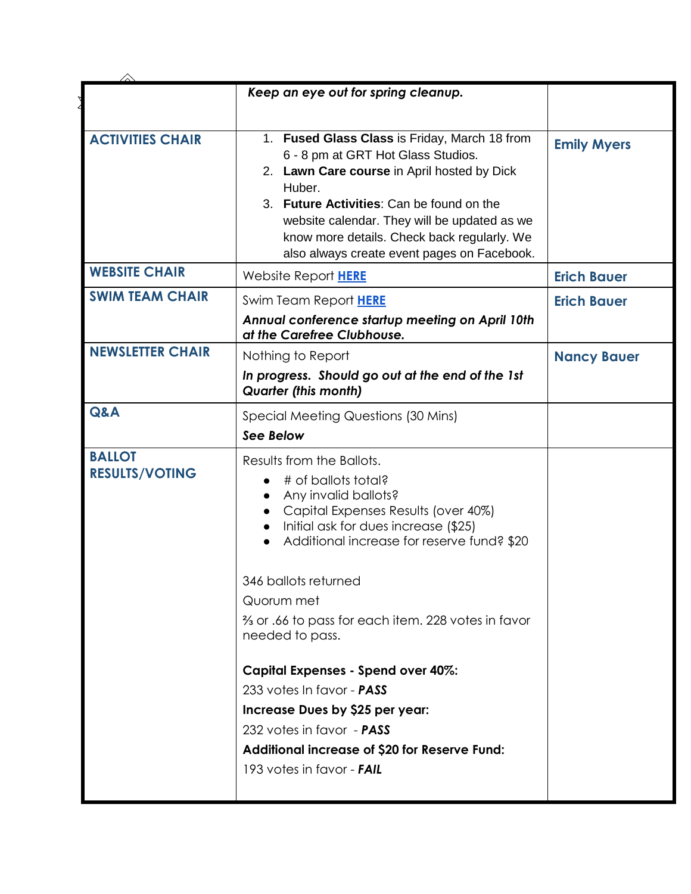|                                        | Keep an eye out for spring cleanup.                                                       |                    |
|----------------------------------------|-------------------------------------------------------------------------------------------|--------------------|
|                                        |                                                                                           |                    |
| <b>ACTIVITIES CHAIR</b>                | 1. Fused Glass Class is Friday, March 18 from<br>6 - 8 pm at GRT Hot Glass Studios.       | <b>Emily Myers</b> |
|                                        | 2. Lawn Care course in April hosted by Dick                                               |                    |
|                                        | Huber.                                                                                    |                    |
|                                        | 3. Future Activities: Can be found on the<br>website calendar. They will be updated as we |                    |
|                                        | know more details. Check back regularly. We                                               |                    |
|                                        | also always create event pages on Facebook.                                               |                    |
| <b>WEBSITE CHAIR</b>                   | Website Report HERE                                                                       | <b>Erich Bauer</b> |
| <b>SWIM TEAM CHAIR</b>                 | Swim Team Report HERE                                                                     | <b>Erich Bauer</b> |
|                                        | Annual conference startup meeting on April 10th<br>at the Carefree Clubhouse.             |                    |
| <b>NEWSLETTER CHAIR</b>                | Nothing to Report                                                                         | <b>Nancy Bauer</b> |
|                                        | In progress. Should go out at the end of the 1st<br><b>Quarter (this month)</b>           |                    |
| Q&A                                    | Special Meeting Questions (30 Mins)                                                       |                    |
|                                        | See Below                                                                                 |                    |
| <b>BALLOT</b><br><b>RESULTS/VOTING</b> | Results from the Ballots.                                                                 |                    |
|                                        | # of ballots total?                                                                       |                    |
|                                        | Any invalid ballots?<br>Capital Expenses Results (over 40%)                               |                    |
|                                        | Initial ask for dues increase (\$25)                                                      |                    |
|                                        | Additional increase for reserve fund? \$20                                                |                    |
|                                        | 346 ballots returned                                                                      |                    |
|                                        | Quorum met                                                                                |                    |
|                                        | 3/ <sub>3</sub> or .66 to pass for each item. 228 votes in favor<br>needed to pass.       |                    |
|                                        | Capital Expenses - Spend over 40%:                                                        |                    |
|                                        | 233 votes In favor - <b>PASS</b>                                                          |                    |
|                                        | Increase Dues by \$25 per year:                                                           |                    |
|                                        | 232 votes in favor - PASS                                                                 |                    |
|                                        | Additional increase of \$20 for Reserve Fund:                                             |                    |
|                                        | 193 votes in favor - <b>FAIL</b>                                                          |                    |
|                                        |                                                                                           |                    |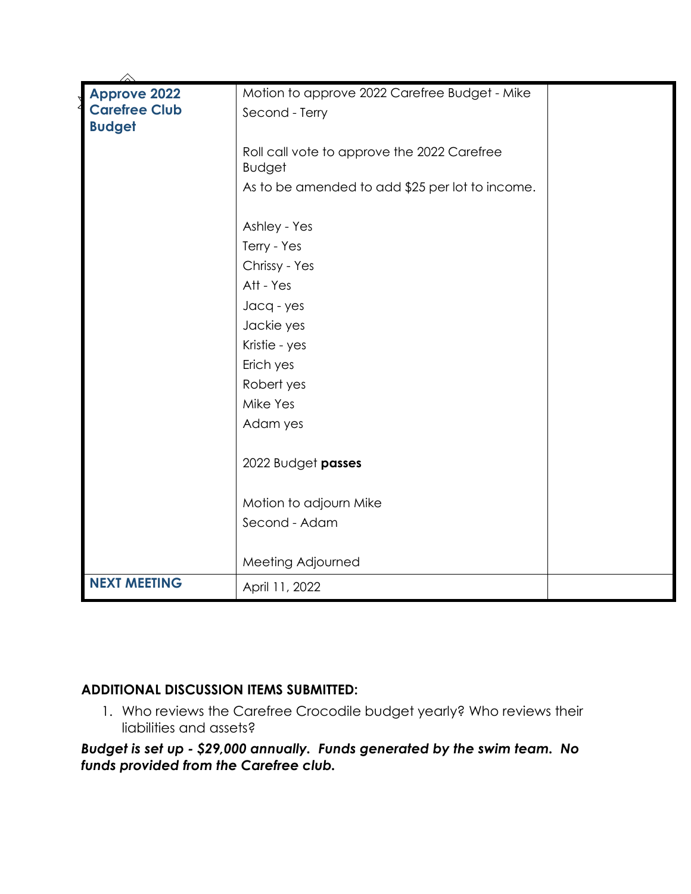| Motion to approve 2022 Carefree Budget - Mike |                                                                                                                  |
|-----------------------------------------------|------------------------------------------------------------------------------------------------------------------|
| Second - Terry                                |                                                                                                                  |
|                                               |                                                                                                                  |
| Roll call vote to approve the 2022 Carefree   |                                                                                                                  |
|                                               |                                                                                                                  |
|                                               |                                                                                                                  |
| Ashley - Yes                                  |                                                                                                                  |
| Terry - Yes                                   |                                                                                                                  |
| Chrissy - Yes                                 |                                                                                                                  |
| Att - Yes                                     |                                                                                                                  |
| Jacq - yes                                    |                                                                                                                  |
| Jackie yes                                    |                                                                                                                  |
| Kristie - yes                                 |                                                                                                                  |
| Erich yes                                     |                                                                                                                  |
| Robert yes                                    |                                                                                                                  |
| Mike Yes                                      |                                                                                                                  |
| Adam yes                                      |                                                                                                                  |
|                                               |                                                                                                                  |
|                                               |                                                                                                                  |
|                                               |                                                                                                                  |
| Second - Adam                                 |                                                                                                                  |
|                                               |                                                                                                                  |
| Meeting Adjourned                             |                                                                                                                  |
| April 11, 2022                                |                                                                                                                  |
|                                               | <b>Budget</b><br>As to be amended to add \$25 per lot to income.<br>2022 Budget passes<br>Motion to adjourn Mike |

#### **ADDITIONAL DISCUSSION ITEMS SUBMITTED:**

1. Who reviews the Carefree Crocodile budget yearly? Who reviews their liabilities and assets?

*Budget is set up - \$29,000 annually. Funds generated by the swim team. No funds provided from the Carefree club.*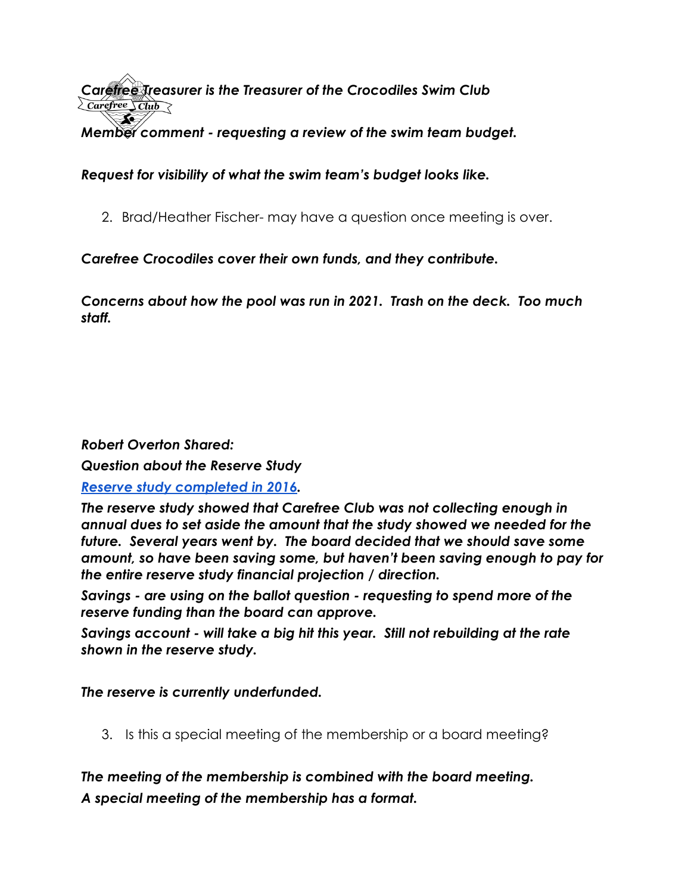*Careffee Treasurer is the Treasurer of the Crocodiles Swim Club*<br>Z*carefree Club*  $\infty$ *Member comment - requesting a review of the swim team budget.* 

*Request for visibility of what the swim team's budget looks like.* 

2. Brad/Heather Fischer- may have a question once meeting is over.

*Carefree Crocodiles cover their own funds, and they contribute.*

*Concerns about how the pool was run in 2021. Trash on the deck. Too much staff.* 

#### *Robert Overton Shared:*

*Question about the Reserve Study*

#### *[Reserve study completed in 2016.](https://www.carefreeclub.org/media/2b8772af-4b5a-4bf5-86f6-b883268997df/pEQD0Q/Documents/Covenants/Reserve%20Study%20-%20Carefree%20Club%20Inc.pdf)*

*The reserve study showed that Carefree Club was not collecting enough in annual dues to set aside the amount that the study showed we needed for the future. Several years went by. The board decided that we should save some amount, so have been saving some, but haven't been saving enough to pay for the entire reserve study financial projection / direction.* 

*Savings - are using on the ballot question - requesting to spend more of the reserve funding than the board can approve.* 

*Savings account - will take a big hit this year. Still not rebuilding at the rate shown in the reserve study.* 

*The reserve is currently underfunded.* 

3. Is this a special meeting of the membership or a board meeting?

*The meeting of the membership is combined with the board meeting. A special meeting of the membership has a format.*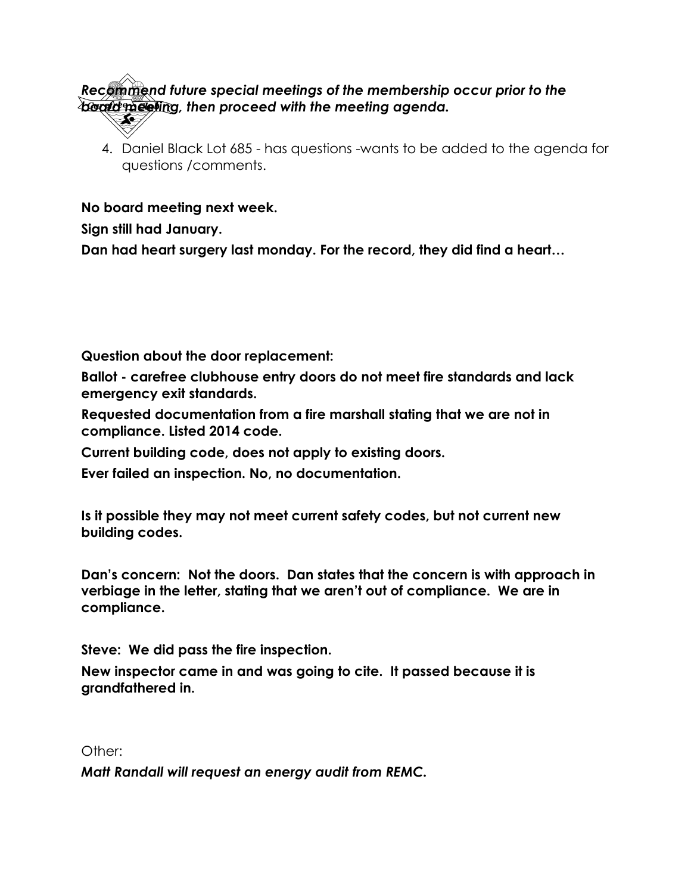## *Recommend future special meetings of the membership occur prior to the board meeting, then proceed with the meeting agenda.*

4. Daniel Black Lot 685 - has questions -wants to be added to the agenda for questions /comments.

**No board meeting next week.** 

**Sign still had January.** 

**Dan had heart surgery last monday. For the record, they did find a heart…**

**Question about the door replacement:** 

**Ballot - carefree clubhouse entry doors do not meet fire standards and lack emergency exit standards.** 

**Requested documentation from a fire marshall stating that we are not in compliance. Listed 2014 code.** 

**Current building code, does not apply to existing doors.** 

**Ever failed an inspection. No, no documentation.** 

**Is it possible they may not meet current safety codes, but not current new building codes.** 

**Dan's concern: Not the doors. Dan states that the concern is with approach in verbiage in the letter, stating that we aren't out of compliance. We are in compliance.** 

**Steve: We did pass the fire inspection.** 

**New inspector came in and was going to cite. It passed because it is grandfathered in.** 

Other:

*Matt Randall will request an energy audit from REMC.*